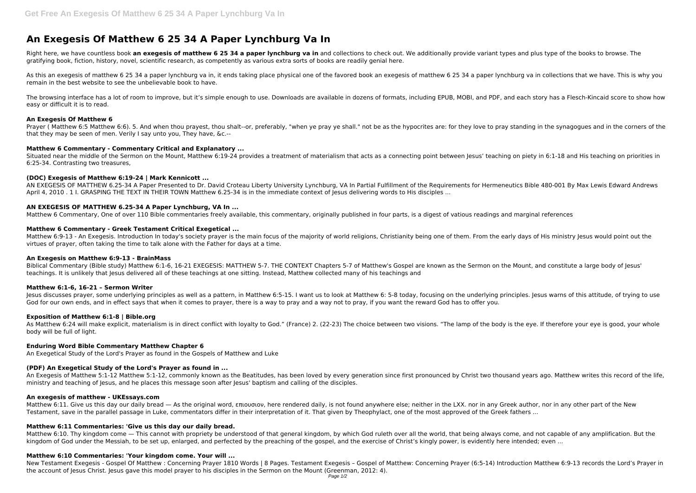# **An Exegesis Of Matthew 6 25 34 A Paper Lynchburg Va In**

Right here, we have countless book an exegesis of matthew 6 25 34 a paper lynchburg va in and collections to check out. We additionally provide variant types and plus type of the books to browse. The gratifying book, fiction, history, novel, scientific research, as competently as various extra sorts of books are readily genial here.

As this an exegesis of matthew 6 25 34 a paper lynchburg va in, it ends taking place physical one of the favored book an exegesis of matthew 6 25 34 a paper lynchburg va in collections that we have. This is why you remain in the best website to see the unbelievable book to have.

The browsing interface has a lot of room to improve, but it's simple enough to use. Downloads are available in dozens of formats, including EPUB, MOBI, and PDF, and each story has a Flesch-Kincaid score to show how easy or difficult it is to read.

Prayer ( Matthew 6:5 Matthew 6:6), 5. And when thou prayest, thou shalt--or, preferably, "when ye pray ye shall." not be as the hypocrites are: for they love to pray standing in the synagogues and in the corners of the that they may be seen of men. Verily I say unto you, They have, &c.--

AN EXEGESIS OF MATTHEW 6.25-34 A Paper Presented to Dr. David Croteau Liberty University Lynchburg, VA In Partial Fulfillment of the Requirements for Hermeneutics Bible 480-001 By Max Lewis Edward Andrews April 4, 2010 . 1 I. GRASPING THE TEXT IN THEIR TOWN Matthew 6.25-34 is in the immediate context of lesus delivering words to His disciples ...

### **An Exegesis Of Matthew 6**

Matthew 6:9-13 - An Exegesis. Introduction In today's society prayer is the main focus of the majority of world religions. Christianity being one of them. From the early days of His ministry lesus would point out the virtues of prayer, often taking the time to talk alone with the Father for days at a time.

### **Matthew 6 Commentary - Commentary Critical and Explanatory ...**

Situated near the middle of the Sermon on the Mount, Matthew 6:19-24 provides a treatment of materialism that acts as a connecting point between Jesus' teaching on piety in 6:1-18 and His teaching on priorities in 6:25-34. Contrasting two treasures,

Biblical Commentary (Bible study) Matthew 6:1-6, 16-21 EXEGESIS: MATTHEW 5-7. THE CONTEXT Chapters 5-7 of Matthew's Gospel are known as the Sermon on the Mount, and constitute a large body of Jesus' teachings. It is unlikely that Jesus delivered all of these teachings at one sitting. Instead, Matthew collected many of his teachings and

### **(DOC) Exegesis of Matthew 6:19-24 | Mark Kennicott ...**

As Matthew 6:24 will make explicit, materialism is in direct conflict with loyalty to God." (France) 2. (22-23) The choice between two visions. "The lamp of the body is the eye. If therefore your eye is good, your whole body will be full of light.

### **AN EXEGESIS OF MATTHEW 6.25-34 A Paper Lynchburg, VA In ...**

An Exegesis of Matthew 5:1-12 Matthew 5:1-12, commonly known as the Beatitudes, has been loved by every generation since first pronounced by Christ two thousand years ago. Matthew writes this record of the life, ministry and teaching of Jesus, and he places this message soon after Jesus' baptism and calling of the disciples.

Matthew 6 Commentary, One of over 110 Bible commentaries freely available, this commentary, originally published in four parts, is a digest of vatious readings and marginal references

### **Matthew 6 Commentary - Greek Testament Critical Exegetical ...**

Matthew 6:11. Give us this day our daily bread — As the original word, επιουσιον, here rendered daily, is not found anywhere else; neither in the LXX. nor in any Greek author, nor in any other part of the New Testament, save in the parallel passage in Luke, commentators differ in their interpretation of it. That given by Theophylact, one of the most approved of the Greek fathers ...

Matthew 6:10. Thy kingdom come — This cannot with propriety be understood of that general kingdom, by which God ruleth over all the world, that being always come, and not capable of any amplification. But the kingdom of God under the Messiah, to be set up, enlarged, and perfected by the preaching of the gospel, and the exercise of Christ's kingly power, is evidently here intended; even ...

#### **An Exegesis on Matthew 6:9-13 - BrainMass**

### **Matthew 6:1-6, 16-21 – Sermon Writer**

Jesus discusses prayer, some underlying principles as well as a pattern, in Matthew 6:5-15. I want us to look at Matthew 6: 5-8 today, focusing on the underlying principles. Jesus warns of this attitude, of trying to use God for our own ends, and in effect says that when it comes to prayer, there is a way to pray and a way not to pray, if you want the reward God has to offer you.

### **Exposition of Matthew 6:1-8 | Bible.org**

### **Enduring Word Bible Commentary Matthew Chapter 6**

An Exegetical Study of the Lord's Prayer as found in the Gospels of Matthew and Luke

### **(PDF) An Exegetical Study of the Lord's Prayer as found in ...**

### **An exegesis of matthew - UKEssays.com**

### **Matthew 6:11 Commentaries: 'Give us this day our daily bread.**

### **Matthew 6:10 Commentaries: 'Your kingdom come. Your will ...**

New Testament Exegesis - Gospel Of Matthew : Concerning Prayer 1810 Words | 8 Pages. Testament Exegesis – Gospel of Matthew: Concerning Prayer (6:5-14) Introduction Matthew 6:9-13 records the Lord's Prayer in the account of Jesus Christ. Jesus gave this model prayer to his disciples in the Sermon on the Mount (Greenman, 2012: 4).